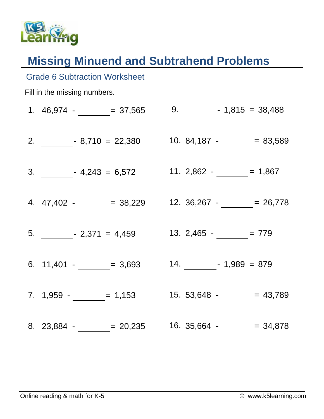

## **Missing Minuend and Subtrahend Problems**

| <b>Grade 6 Subtraction Worksheet</b>         |                                                            |
|----------------------------------------------|------------------------------------------------------------|
| Fill in the missing numbers.                 |                                                            |
| 1. $46,974 -$ = 37,565 9. - - 1,815 = 38,488 |                                                            |
|                                              |                                                            |
|                                              |                                                            |
|                                              | 4. $47,402  = 38,229$ 12. $36,267  = 26,778$               |
|                                              |                                                            |
| 6. $11,401 -$ = 3,693 14. - 1,989 = 879      |                                                            |
|                                              | 7. $1,959  = 1,153$ 15. 53,648 - $= 43,789$                |
|                                              | 8. 23,884 - ______ = 20,235 		 16. 35,664 - _____ = 34,878 |